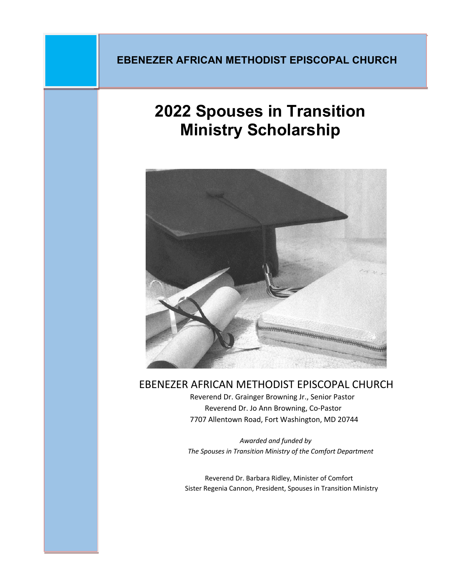## **EBENEZER AFRICAN METHODIST EPISCOPAL CHURCH**

# **2022 Spouses in Transition Ministry Scholarship**



EBENEZER AFRICAN METHODIST EPISCOPAL CHURCH Reverend Dr. Grainger Browning Jr., Senior Pastor

 Reverend Dr. Jo Ann Browning, Co-Pastor 7707 Allentown Road, Fort Washington, MD 20744

 *Awarded and funded by The Spouses in Transition Ministry of the Comfort Department*

 Reverend Dr. Barbara Ridley, Minister of Comfort Sister Regenia Cannon, President, Spouses in Transition Ministry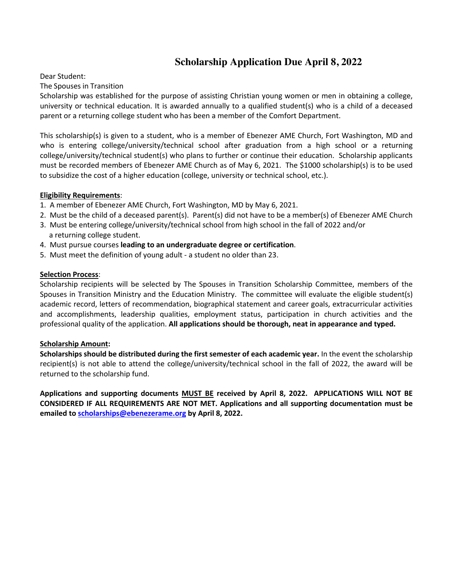## **Scholarship Application Due April 8, 2022**

#### Dear Student:

The Spouses in Transition

Scholarship was established for the purpose of assisting Christian young women or men in obtaining a college, university or technical education. It is awarded annually to a qualified student(s) who is a child of a deceased parent or a returning college student who has been a member of the Comfort Department.

This scholarship(s) is given to a student, who is a member of Ebenezer AME Church, Fort Washington, MD and who is entering college/university/technical school after graduation from a high school or a returning college/university/technical student(s) who plans to further or continue their education. Scholarship applicants must be recorded members of Ebenezer AME Church as of May 6, 2021. The \$1000 scholarship(s) is to be used to subsidize the cost of a higher education (college, university or technical school, etc.).

#### **Eligibility Requirements**:

- 1. A member of Ebenezer AME Church, Fort Washington, MD by May 6, 2021.
- 2. Must be the child of a deceased parent(s). Parent(s) did not have to be a member(s) of Ebenezer AME Church
- 3. Must be entering college/university/technical school from high school in the fall of 2022 and/or a returning college student.
- 4. Must pursue courses **leading to an undergraduate degree or certification**.
- 5. Must meet the definition of young adult a student no older than 23.

#### **Selection Process**:

Scholarship recipients will be selected by The Spouses in Transition Scholarship Committee, members of the Spouses in Transition Ministry and the Education Ministry. The committee will evaluate the eligible student(s) academic record, letters of recommendation, biographical statement and career goals, extracurricular activities and accomplishments, leadership qualities, employment status, participation in church activities and the professional quality of the application. **All applications should be thorough, neat in appearance and typed.** 

#### **Scholarship Amount:**

**Scholarships should be distributed during the first semester of each academic year.** In the event the scholarship recipient(s) is not able to attend the college/university/technical school in the fall of 2022, the award will be returned to the scholarship fund.

**Applications and supporting documents MUST BE received by April 8, 2022. APPLICATIONS WILL NOT BE CONSIDERED IF ALL REQUIREMENTS ARE NOT MET. Applications and all supporting documentation must be emailed to scholarships@ebenezerame.org by April 8, 2022.**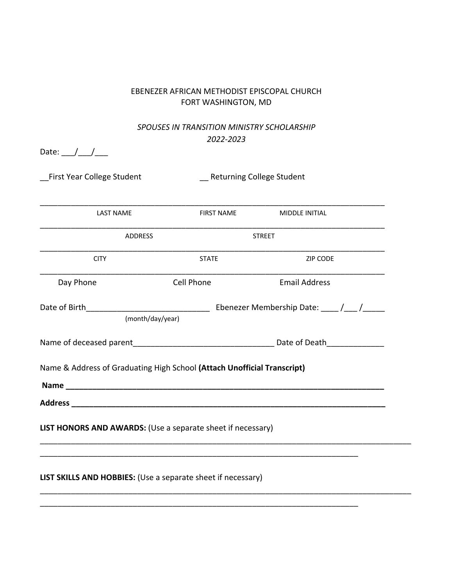#### EBENEZER AFRICAN METHODIST EPISCOPAL CHURCH FORT WASHINGTON, MD

### *SPOUSES IN TRANSITION MINISTRY SCHOLARSHIP 2022-2023*

| Date: ___/ ___/ ___       |
|---------------------------|
| First Year College Studer |
| <b>LAST NAME</b>          |
| ADI                       |
| <b>CITY</b>               |
| Day Phone                 |
| Date of Birth___          |
| (mc                       |
| Name of deceased parent   |
| Name & Address of Gradua  |

nt and College Student Learning College Student \_\_\_\_\_\_\_\_\_\_\_\_\_\_\_\_\_\_\_\_\_\_\_\_\_\_\_\_\_\_\_\_\_\_\_\_\_\_\_\_\_\_\_\_\_\_\_\_\_\_\_\_\_\_\_\_\_\_\_\_\_\_\_\_\_\_\_\_\_\_\_\_\_\_\_\_\_\_ FIRST NAME MIDDLE INITIAL \_\_\_\_\_\_\_\_\_\_\_\_\_\_\_\_\_\_\_\_\_\_\_\_\_\_\_\_\_\_\_\_\_\_\_\_\_\_\_\_\_\_\_\_\_\_\_\_\_\_\_\_\_\_\_\_\_\_\_\_\_\_\_\_\_\_\_\_\_\_\_\_\_\_\_\_\_\_ ADDRESS STREET \_\_\_\_\_\_\_\_\_\_\_\_\_\_\_\_\_\_\_\_\_\_\_\_\_\_\_\_\_\_\_\_\_\_\_\_\_\_\_\_\_\_\_\_\_\_\_\_\_\_\_\_\_\_\_\_\_\_\_\_\_\_\_\_\_\_\_\_\_\_\_\_\_\_\_\_\_\_ **CITY STATE Example 21P CODE** \_\_\_\_\_\_\_\_\_\_\_\_\_\_\_\_\_\_\_\_\_\_\_\_\_\_\_\_\_\_\_\_\_\_\_\_\_\_\_\_\_\_\_\_\_\_\_\_\_\_\_\_\_\_\_\_\_\_\_\_\_\_\_\_\_\_\_\_\_\_\_\_\_\_\_\_\_\_ Day Phone Cell Phone Email Address Date of Birth\_\_\_\_\_\_\_\_\_\_\_\_\_\_\_\_\_\_\_\_\_\_\_\_\_\_\_\_ Ebenezer Membership Date: \_\_\_\_ /\_\_\_ /\_\_\_\_\_ nth/day/year) Name of deceased parent\_\_\_\_\_\_\_\_\_\_\_\_\_\_\_\_\_\_\_\_\_\_\_\_\_\_\_\_\_\_\_\_ Date of Death\_\_\_\_\_\_\_\_\_\_\_\_\_ ating High School (Attach Unofficial Transcript) **Name \_\_\_\_\_\_\_\_\_\_\_\_\_\_\_\_\_\_\_\_\_\_\_\_\_\_\_\_\_\_\_\_\_\_\_\_\_\_\_\_\_\_\_\_\_\_\_\_\_\_\_\_\_\_\_\_\_\_\_\_\_\_\_\_\_\_\_\_\_\_\_\_ Address \_\_\_\_\_\_\_\_\_\_\_\_\_\_\_\_\_\_\_\_\_\_\_\_\_\_\_\_\_\_\_\_\_\_\_\_\_\_\_\_\_\_\_\_\_\_\_\_\_\_\_\_\_\_\_\_\_\_\_\_\_\_\_\_\_\_\_\_\_\_\_ LIST HONORS AND AWARDS:** (Use a separate sheet if necessary) \_\_\_\_\_\_\_\_\_\_\_\_\_\_\_\_\_\_\_\_\_\_\_\_\_\_\_\_\_\_\_\_\_\_\_\_\_\_\_\_\_\_\_\_\_\_\_\_\_\_\_\_\_\_\_\_\_\_\_\_\_\_\_\_\_\_\_\_\_\_\_\_\_\_\_\_\_\_\_\_\_\_\_\_ \_\_\_\_\_\_\_\_\_\_\_\_\_\_\_\_\_\_\_\_\_\_\_\_\_\_\_\_\_\_\_\_\_\_\_\_\_\_\_\_\_\_\_\_\_\_\_\_\_\_\_\_\_\_\_\_\_\_\_\_\_\_\_\_\_\_\_\_\_\_\_\_ **LIST SKILLS AND HOBBIES:** (Use a separate sheet if necessary)

\_\_\_\_\_\_\_\_\_\_\_\_\_\_\_\_\_\_\_\_\_\_\_\_\_\_\_\_\_\_\_\_\_\_\_\_\_\_\_\_\_\_\_\_\_\_\_\_\_\_\_\_\_\_\_\_\_\_\_\_\_\_\_\_\_\_\_\_\_\_\_\_\_\_\_\_\_\_\_\_\_\_\_\_

\_\_\_\_\_\_\_\_\_\_\_\_\_\_\_\_\_\_\_\_\_\_\_\_\_\_\_\_\_\_\_\_\_\_\_\_\_\_\_\_\_\_\_\_\_\_\_\_\_\_\_\_\_\_\_\_\_\_\_\_\_\_\_\_\_\_\_\_\_\_\_\_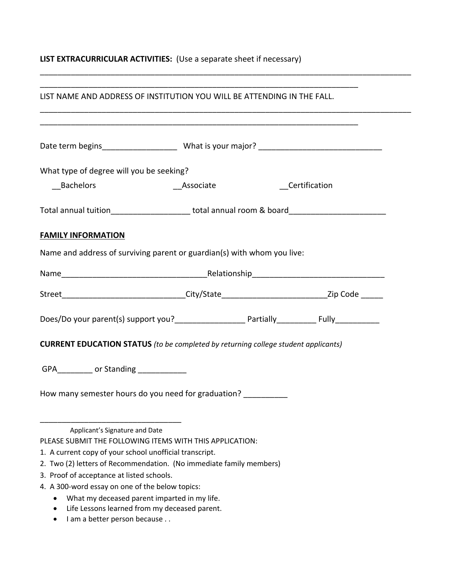## **LIST EXTRACURRICULAR ACTIVITIES:** (Use a separate sheet if necessary)

| LIST NAME AND ADDRESS OF INSTITUTION YOU WILL BE ATTENDING IN THE FALL.                                          |           |               |
|------------------------------------------------------------------------------------------------------------------|-----------|---------------|
|                                                                                                                  |           |               |
| What type of degree will you be seeking?                                                                         |           |               |
| <b>Bachelors</b>                                                                                                 | Associate | Certification |
| Total annual tuition_______________________total annual room & board________________________________             |           |               |
| <b>FAMILY INFORMATION</b>                                                                                        |           |               |
| Name and address of surviving parent or guardian(s) with whom you live:                                          |           |               |
|                                                                                                                  |           |               |
| Street______________________________City/State______________________________Zip Code ______                      |           |               |
|                                                                                                                  |           |               |
| <b>CURRENT EDUCATION STATUS</b> (to be completed by returning college student applicants)                        |           |               |
| GPA____________ or Standing _____________                                                                        |           |               |
|                                                                                                                  |           |               |
| How many semester hours do you need for graduation?                                                              |           |               |
| Applicant's Signature and Date                                                                                   |           |               |
| PLEASE SUBMIT THE FOLLOWING ITEMS WITH THIS APPLICATION:                                                         |           |               |
| 1. A current copy of your school unofficial transcript.                                                          |           |               |
| 2. Two (2) letters of Recommendation. (No immediate family members)<br>3. Proof of acceptance at listed schools. |           |               |
| 4. A 300-word essay on one of the below topics:                                                                  |           |               |
| What my deceased parent imparted in my life.                                                                     |           |               |
| Life Lessons learned from my deceased parent.                                                                    |           |               |
| I am a better person because                                                                                     |           |               |

\_\_\_\_\_\_\_\_\_\_\_\_\_\_\_\_\_\_\_\_\_\_\_\_\_\_\_\_\_\_\_\_\_\_\_\_\_\_\_\_\_\_\_\_\_\_\_\_\_\_\_\_\_\_\_\_\_\_\_\_\_\_\_\_\_\_\_\_\_\_\_\_\_\_\_\_\_\_\_\_\_\_\_\_